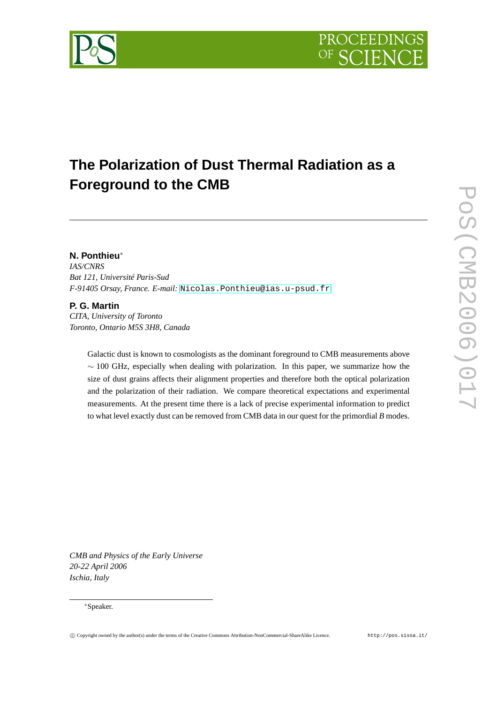

# **The Polarization of Dust Thermal Radiation as a Foreground to the CMB**

# **N. Ponthieu**<sup>∗</sup>

*IAS/CNRS Bat 121, Université Paris-Sud F-91405 Orsay, France. E-mail:* [Nicolas.Ponthieu@ias.u-psud.fr](mailto:Nicolas.Ponthieu@ias.u-psud.fr)

# **P. G. Martin**

*CITA, University of Toronto Toronto, Ontario M5S 3H8, Canada*

> Galactic dust is known to cosmologists as the dominant foreground to CMB measurements above ∼ 100 GHz, especially when dealing with polarization. In this paper, we summarize how the size of dust grains affects their alignment properties and therefore both the optical polarization and the polarization of their radiation. We compare theoretical expectations and experimental measurements. At the present time there is a lack of precise experimental information to predict to what level exactly dust can be removed from CMB data in our quest for the primordial *B* modes.

*CMB and Physics of the Early Universe 20-22 April 2006 Ischia, Italy*

### <sup>∗</sup>Speaker.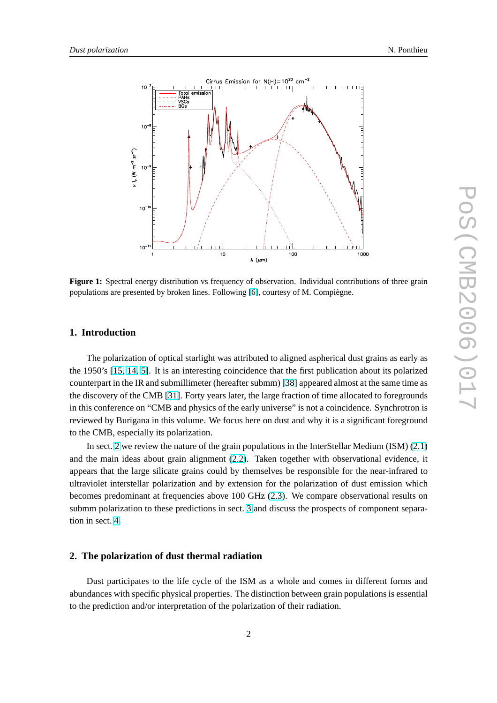<span id="page-1-0"></span>

**Figure 1:** Spectral energy distribution vs frequency of observation. Individual contributions of three grain populations are presented by broken lines. Following [\[6\]](#page-10-0), courtesy of M. Compiègne.

# **1. Introduction**

The polarization of optical starlight was attributed to aligned aspherical dust grains as early as the 1950's [\[15,](#page-10-0) [14,](#page-10-0) [5\]](#page-10-0). It is an interesting coincidence that the first publication about its polarized counterpart in the IR and submillimeter (hereafter submm) [\[38\]](#page-11-0) appeared almost at the same time as the discovery of the CMB [\[31\]](#page-11-0). Forty years later, the large fraction of time allocated to foregrounds in this conference on "CMB and physics of the early universe" is not a coincidence. Synchrotron is reviewed by Burigana in this volume. We focus here on dust and why it is a significant foreground to the CMB, especially its polarization.

In sect. 2 we review the nature of the grain populations in the InterStellar Medium (ISM) [\(2.1\)](#page-2-0) and the main ideas about grain alignment [\(2.2\)](#page-2-0). Taken together with observational evidence, it appears that the large silicate grains could by themselves be responsible for the near-infrared to ultraviolet interstellar polarization and by extension for the polarization of dust emission which becomes predominant at frequencies above 100 GHz [\(2.3\)](#page-3-0). We compare observational results on submm polarization to these predictions in sect. [3](#page-5-0) and discuss the prospects of component separation in sect. [4.](#page-7-0)

# **2. The polarization of dust thermal radiation**

Dust participates to the life cycle of the ISM as a whole and comes in different forms and abundances with specific physical properties. The distinction between grain populations is essential to the prediction and/or interpretation of the polarization of their radiation.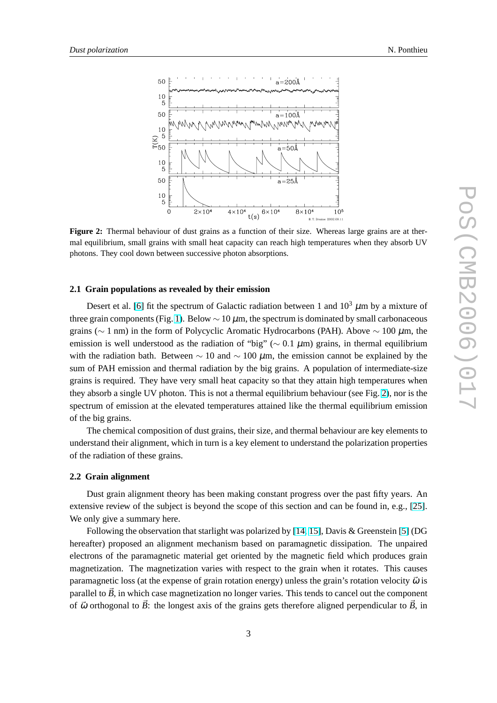<span id="page-2-0"></span>

**Figure 2:** Thermal behaviour of dust grains as a function of their size. Whereas large grains are at thermal equilibrium, small grains with small heat capacity can reach high temperatures when they absorb UV photons. They cool down between successive photon absorptions.

### **2.1 Grain populations as revealed by their emission**

Desert et al. [\[6\]](#page-10-0) fit the spectrum of Galactic radiation between 1 and  $10^3 \mu$ m by a mixture of three grain components (Fig. [1\)](#page-1-0). Below  $\sim 10 \mu$ m, the spectrum is dominated by small carbonaceous grains ( $\sim$  1 nm) in the form of Polycyclic Aromatic Hydrocarbons (PAH). Above  $\sim$  100  $\mu$ m, the emission is well understood as the radiation of "big" ( $\sim 0.1 \mu$ m) grains, in thermal equilibrium with the radiation bath. Between  $\sim 10$  and  $\sim 100 \mu$ m, the emission cannot be explained by the sum of PAH emission and thermal radiation by the big grains. A population of intermediate-size grains is required. They have very small heat capacity so that they attain high temperatures when they absorb a single UV photon. This is not a thermal equilibrium behaviour (see Fig. 2), nor is the spectrum of emission at the elevated temperatures attained like the thermal equilibrium emission of the big grains.

The chemical composition of dust grains, their size, and thermal behaviour are key elements to understand their alignment, which in turn is a key element to understand the polarization properties of the radiation of these grains.

# **2.2 Grain alignment**

Dust grain alignment theory has been making constant progress over the past fifty years. An extensive review of the subject is beyond the scope of this section and can be found in, e.g., [\[25\]](#page-10-0). We only give a summary here.

Following the observation that starlight was polarized by [\[14,](#page-10-0) [15\]](#page-10-0), Davis & Greenstein [\[5\]](#page-10-0) (DG hereafter) proposed an alignment mechanism based on paramagnetic dissipation. The unpaired electrons of the paramagnetic material get oriented by the magnetic field which produces grain magnetization. The magnetization varies with respect to the grain when it rotates. This causes paramagnetic loss (at the expense of grain rotation energy) unless the grain's rotation velocity  $\vec{\omega}$  is parallel to  $\vec{B}$ , in which case magnetization no longer varies. This tends to cancel out the component of  $\vec{\omega}$  orthogonal to  $\vec{B}$ : the longest axis of the grains gets therefore aligned perpendicular to  $\vec{B}$ , in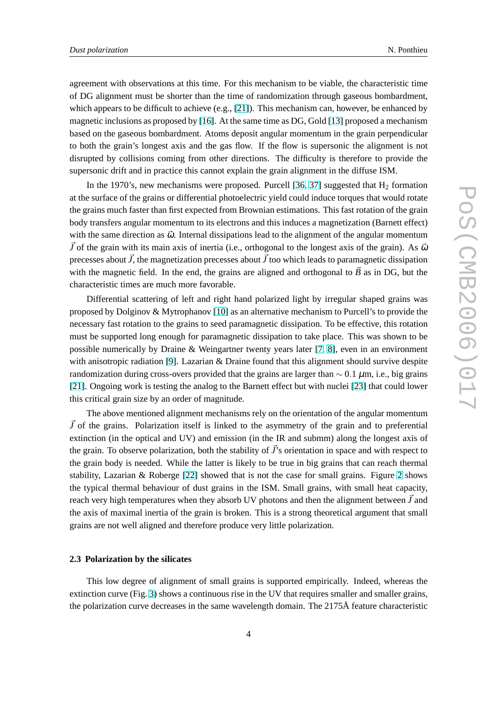<span id="page-3-0"></span>agreement with observations at this time. For this mechanism to be viable, the characteristic time of DG alignment must be shorter than the time of randomization through gaseous bombardment, which appears to be difficult to achieve  $(e.g., [21])$  $(e.g., [21])$  $(e.g., [21])$ . This mechanism can, however, be enhanced by magnetic inclusions as proposed by [\[16\]](#page-10-0). At the same time as DG, Gold [\[13\]](#page-10-0) proposed a mechanism based on the gaseous bombardment. Atoms deposit angular momentum in the grain perpendicular to both the grain's longest axis and the gas flow. If the flow is supersonic the alignment is not disrupted by collisions coming from other directions. The difficulty is therefore to provide the supersonic drift and in practice this cannot explain the grain alignment in the diffuse ISM.

In the 1970's, new mechanisms were proposed. Purcell  $[36, 37]$  $[36, 37]$  $[36, 37]$  suggested that  $H_2$  formation at the surface of the grains or differential photoelectric yield could induce torques that would rotate the grains much faster than first expected from Brownian estimations. This fast rotation of the grain body transfers angular momentum to its electrons and this induces a magnetization (Barnett effect) with the same direction as  $\vec{\omega}$ . Internal dissipations lead to the alignment of the angular momentum  $\vec{J}$  of the grain with its main axis of inertia (i.e., orthogonal to the longest axis of the grain). As  $\vec{\omega}$ precesses about  $\vec{J}$ , the magnetization precesses about  $\vec{J}$  too which leads to paramagnetic dissipation with the magnetic field. In the end, the grains are aligned and orthogonal to  $\vec{B}$  as in DG, but the characteristic times are much more favorable.

Differential scattering of left and right hand polarized light by irregular shaped grains was proposed by Dolginov & Mytrophanov [\[10\]](#page-10-0) as an alternative mechanism to Purcell's to provide the necessary fast rotation to the grains to seed paramagnetic dissipation. To be effective, this rotation must be supported long enough for paramagnetic dissipation to take place. This was shown to be possible numerically by Draine & Weingartner twenty years later [\[7,](#page-10-0) [8\]](#page-10-0), even in an environment with anisotropic radiation [\[9\]](#page-10-0). Lazarian & Draine found that this alignment should survive despite randomization during cross-overs provided that the grains are larger than  $\sim 0.1 \mu$ m, i.e., big grains [\[21\]](#page-10-0). Ongoing work is testing the analog to the Barnett effect but with nuclei [\[23\]](#page-10-0) that could lower this critical grain size by an order of magnitude.

The above mentioned alignment mechanisms rely on the orientation of the angular momentum  $\bar{J}$  of the grains. Polarization itself is linked to the asymmetry of the grain and to preferential extinction (in the optical and UV) and emission (in the IR and submm) along the longest axis of the grain. To observe polarization, both the stability of  $\vec{J}$ 's orientation in space and with respect to the grain body is needed. While the latter is likely to be true in big grains that can reach thermal stability, Lazarian & Roberge [\[22\]](#page-10-0) showed that is not the case for small grains. Figure [2](#page-2-0) shows the typical thermal behaviour of dust grains in the ISM. Small grains, with small heat capacity, reach very high temperatures when they absorb UV photons and then the alignment between  $\vec{J}$  and the axis of maximal inertia of the grain is broken. This is a strong theoretical argument that small grains are not well aligned and therefore produce very little polarization.

#### **2.3 Polarization by the silicates**

This low degree of alignment of small grains is supported empirically. Indeed, whereas the extinction curve (Fig. [3\)](#page-4-0) shows a continuous rise in the UV that requires smaller and smaller grains, the polarization curve decreases in the same wavelength domain. The 2175Å feature characteristic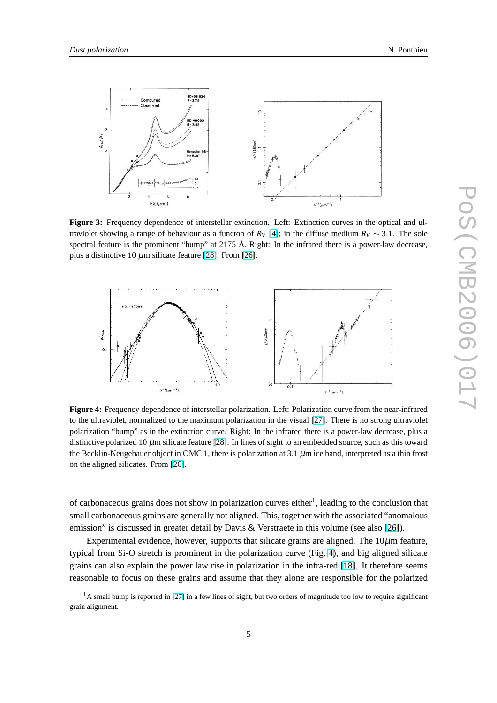<span id="page-4-0"></span>

**Figure 3:** Frequency dependence of interstellar extinction. Left: Extinction curves in the optical and ultraviolet showing a range of behaviour as a functon of  $R_V$  [\[4\]](#page-10-0); in the diffuse medium  $R_V \sim 3.1$ . The sole spectral feature is the prominent "bump" at 2175 Å. Right: In the infrared there is a power-law decrease, plus a distinctive 10  $\mu$ m silicate feature [\[28\]](#page-10-0). From [\[26\]](#page-10-0).



**Figure 4:** Frequency dependence of interstellar polarization. Left: Polarization curve from the near-infrared to the ultraviolet, normalized to the maximum polarization in the visual [\[27\]](#page-10-0). There is no strong ultraviolet polarization "bump" as in the extinction curve. Right: In the infrared there is a power-law decrease, plus a distinctive polarized 10  $\mu$ m silicate feature [\[28\]](#page-10-0). In lines of sight to an embedded source, such as this toward the Becklin-Neugebauer object in OMC 1, there is polarization at 3.1  $\mu$ m ice band, interpreted as a thin frost on the aligned silicates. From [\[26\]](#page-10-0).

of carbonaceous grains does not show in polarization curves either<sup>1</sup>, leading to the conclusion that small carbonaceous grains are generally not aligned. This, together with the associated "anomalous emission" is discussed in greater detail by Davis & Verstraete in this volume (see also [\[26\]](#page-10-0)).

Experimental evidence, however, supports that silicate grains are aligned. The  $10\mu$ m feature, typical from Si-O stretch is prominent in the polarization curve (Fig. 4), and big aligned silicate grains can also explain the power law rise in polarization in the infra-red [\[18\]](#page-10-0). It therefore seems reasonable to focus on these grains and assume that they alone are responsible for the polarized

<sup>&</sup>lt;sup>1</sup>A small bump is reported in [\[27\]](#page-10-0) in a few lines of sight, but two orders of magnitude too low to require significant grain alignment.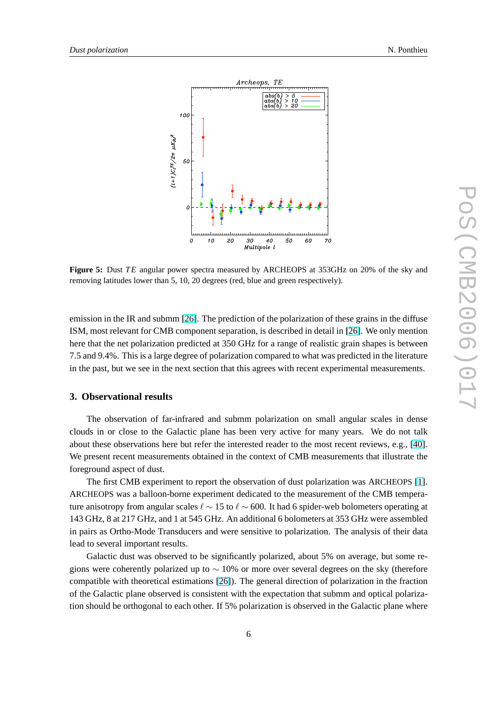<span id="page-5-0"></span>

**Figure 5:** Dust *T E* angular power spectra measured by ARCHEOPS at 353GHz on 20% of the sky and removing latitudes lower than 5, 10, 20 degrees (red, blue and green respectively).

emission in the IR and submm [\[26\]](#page-10-0). The prediction of the polarization of these grains in the diffuse ISM, most relevant for CMB component separation, is described in detail in [\[26\]](#page-10-0). We only mention here that the net polarization predicted at 350 GHz for a range of realistic grain shapes is between 7.5 and 9.4%. This is a large degree of polarization compared to what was predicted in the literature in the past, but we see in the next section that this agrees with recent experimental measurements.

# **3. Observational results**

The observation of far-infrared and submm polarization on small angular scales in dense clouds in or close to the Galactic plane has been very active for many years. We do not talk about these observations here but refer the interested reader to the most recent reviews, e.g., [\[40\]](#page-11-0). We present recent measurements obtained in the context of CMB measurements that illustrate the foreground aspect of dust.

The first CMB experiment to report the observation of dust polarization was ARCHEOPS [\[1\]](#page-10-0). ARCHEOPS was a balloon-borne experiment dedicated to the measurement of the CMB temperature anisotropy from angular scales  $\ell \sim 15$  to  $\ell \sim 600$ . It had 6 spider-web bolometers operating at 143 GHz, 8 at 217 GHz, and 1 at 545 GHz. An additional 6 bolometers at 353 GHz were assembled in pairs as Ortho-Mode Transducers and were sensitive to polarization. The analysis of their data lead to several important results.

Galactic dust was observed to be significantly polarized, about 5% on average, but some regions were coherently polarized up to  $\sim$  10% or more over several degrees on the sky (therefore compatible with theoretical estimations [\[26\]](#page-10-0)). The general direction of polarization in the fraction of the Galactic plane observed is consistent with the expectation that submm and optical polarization should be orthogonal to each other. If 5% polarization is observed in the Galactic plane where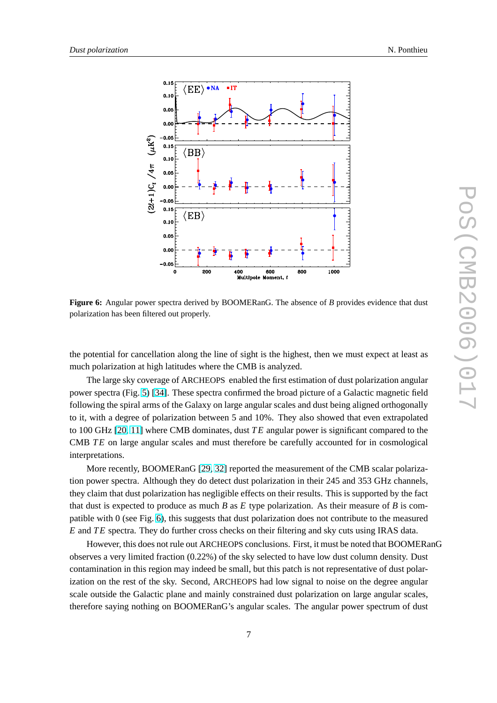

**Figure 6:** Angular power spectra derived by BOOMERanG. The absence of *B* provides evidence that dust polarization has been filtered out properly.

the potential for cancellation along the line of sight is the highest, then we must expect at least as much polarization at high latitudes where the CMB is analyzed.

The large sky coverage of ARCHEOPS enabled the first estimation of dust polarization angular power spectra (Fig. [5\)](#page-5-0) [\[34\]](#page-11-0). These spectra confirmed the broad picture of a Galactic magnetic field following the spiral arms of the Galaxy on large angular scales and dust being aligned orthogonally to it, with a degree of polarization between 5 and 10%. They also showed that even extrapolated to 100 GHz [\[20,](#page-10-0) [11\]](#page-10-0) where CMB dominates, dust *T E* angular power is significant compared to the CMB *TE* on large angular scales and must therefore be carefully accounted for in cosmological interpretations.

More recently, BOOMERanG [\[29,](#page-10-0) [32\]](#page-11-0) reported the measurement of the CMB scalar polarization power spectra. Although they do detect dust polarization in their 245 and 353 GHz channels, they claim that dust polarization has negligible effects on their results. This is supported by the fact that dust is expected to produce as much *B* as *E* type polarization. As their measure of *B* is compatible with 0 (see Fig. 6), this suggests that dust polarization does not contribute to the measured *E* and *T E* spectra. They do further cross checks on their filtering and sky cuts using IRAS data.

However, this does not rule out ARCHEOPS conclusions. First, it must be noted that BOOMERanG observes a very limited fraction (0.22%) of the sky selected to have low dust column density. Dust contamination in this region may indeed be small, but this patch is not representative of dust polarization on the rest of the sky. Second, ARCHEOPS had low signal to noise on the degree angular scale outside the Galactic plane and mainly constrained dust polarization on large angular scales, therefore saying nothing on BOOMERanG's angular scales. The angular power spectrum of dust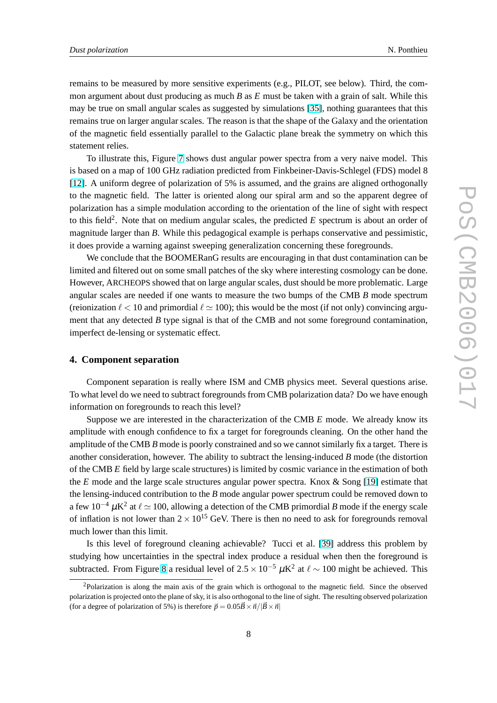<span id="page-7-0"></span>remains to be measured by more sensitive experiments (e.g., PILOT, see below). Third, the common argument about dust producing as much *B* as *E* must be taken with a grain of salt. While this may be true on small angular scales as suggested by simulations [\[35\]](#page-11-0), nothing guarantees that this remains true on larger angular scales. The reason is that the shape of the Galaxy and the orientation of the magnetic field essentially parallel to the Galactic plane break the symmetry on which this statement relies.

To illustrate this, Figure [7](#page-8-0) shows dust angular power spectra from a very naive model. This is based on a map of 100 GHz radiation predicted from Finkbeiner-Davis-Schlegel (FDS) model 8 [\[12\]](#page-10-0). A uniform degree of polarization of 5% is assumed, and the grains are aligned orthogonally to the magnetic field. The latter is oriented along our spiral arm and so the apparent degree of polarization has a simple modulation according to the orientation of the line of sight with respect to this field<sup>2</sup>. Note that on medium angular scales, the predicted  $E$  spectrum is about an order of magnitude larger than *B*. While this pedagogical example is perhaps conservative and pessimistic, it does provide a warning against sweeping generalization concerning these foregrounds.

We conclude that the BOOMERanG results are encouraging in that dust contamination can be limited and filtered out on some small patches of the sky where interesting cosmology can be done. However, ARCHEOPS showed that on large angular scales, dust should be more problematic. Large angular scales are needed if one wants to measure the two bumps of the CMB *B* mode spectrum (reionization  $\ell < 10$  and primordial  $\ell \approx 100$ ); this would be the most (if not only) convincing argument that any detected *B* type signal is that of the CMB and not some foreground contamination, imperfect de-lensing or systematic effect.

# **4. Component separation**

Component separation is really where ISM and CMB physics meet. Several questions arise. To what level do we need to subtract foregrounds from CMB polarization data? Do we have enough information on foregrounds to reach this level?

Suppose we are interested in the characterization of the CMB *E* mode. We already know its amplitude with enough confidence to fix a target for foregrounds cleaning. On the other hand the amplitude of the CMB *B* mode is poorly constrained and so we cannot similarly fix a target. There is another consideration, however. The ability to subtract the lensing-induced *B* mode (the distortion of the CMB *E* field by large scale structures) is limited by cosmic variance in the estimation of both the *E* mode and the large scale structures angular power spectra. Knox & Song [\[19\]](#page-10-0) estimate that the lensing-induced contribution to the *B* mode angular power spectrum could be removed down to a few  $10^{-4}$   $\mu$ K<sup>2</sup> at  $\ell \simeq 100$ , allowing a detection of the CMB primordial *B* mode if the energy scale of inflation is not lower than  $2 \times 10^{15}$  GeV. There is then no need to ask for foregrounds removal much lower than this limit.

Is this level of foreground cleaning achievable? Tucci et al. [\[39\]](#page-11-0) address this problem by studying how uncertainties in the spectral index produce a residual when then the foreground is subtracted. From Figure [8](#page-8-0) a residual level of  $2.5 \times 10^{-5} \mu K^2$  at  $\ell \sim 100$  might be achieved. This

 $2P$ olarization is along the main axis of the grain which is orthogonal to the magnetic field. Since the observed polarization is projected onto the plane of sky, it is also orthogonal to the line of sight. The resulting observed polarization (for a degree of polarization of 5%) is therefore  $\vec{p} = 0.05\vec{B} \times \vec{n}/|\vec{B} \times \vec{n}|$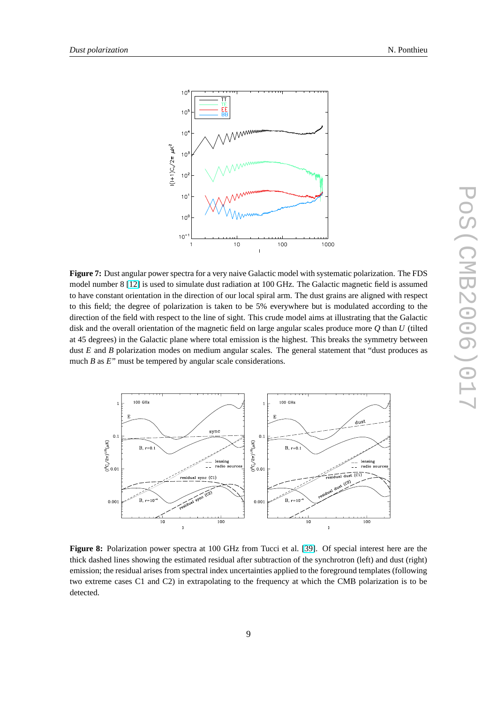<span id="page-8-0"></span>

**Figure 7:** Dust angular power spectra for a very naive Galactic model with systematic polarization. The FDS model number 8 [\[12\]](#page-10-0) is used to simulate dust radiation at 100 GHz. The Galactic magnetic field is assumed to have constant orientation in the direction of our local spiral arm. The dust grains are aligned with respect to this field; the degree of polarization is taken to be 5% everywhere but is modulated according to the direction of the field with respect to the line of sight. This crude model aims at illustrating that the Galactic disk and the overall orientation of the magnetic field on large angular scales produce more *Q* than *U* (tilted at 45 degrees) in the Galactic plane where total emission is the highest. This breaks the symmetry between dust *E* and *B* polarization modes on medium angular scales. The general statement that "dust produces as much *B* as *E*" must be tempered by angular scale considerations.



**Figure 8:** Polarization power spectra at 100 GHz from Tucci et al. [\[39\]](#page-11-0). Of special interest here are the thick dashed lines showing the estimated residual after subtraction of the synchrotron (left) and dust (right) emission; the residual arises from spectral index uncertainties applied to the foreground templates (following two extreme cases C1 and C2) in extrapolating to the frequency at which the CMB polarization is to be detected.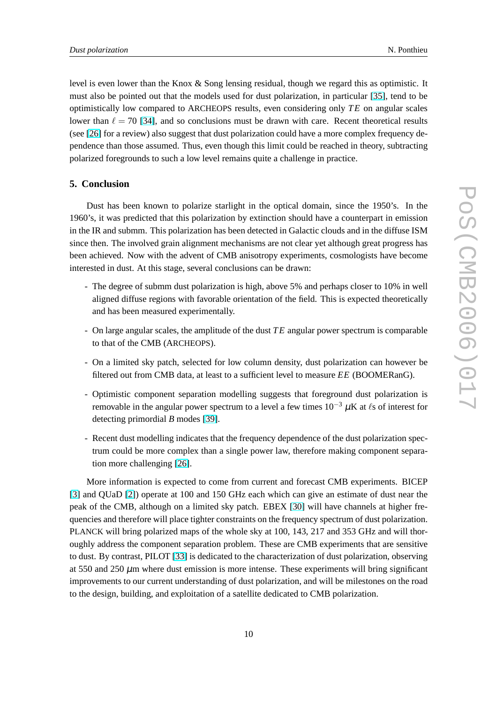level is even lower than the Knox & Song lensing residual, though we regard this as optimistic. It must also be pointed out that the models used for dust polarization, in particular [\[35\]](#page-11-0), tend to be optimistically low compared to ARCHEOPS results, even considering only *T E* on angular scales lower than  $\ell = 70$  [\[34\]](#page-11-0), and so conclusions must be drawn with care. Recent theoretical results (see [\[26\]](#page-10-0) for a review) also suggest that dust polarization could have a more complex frequency dependence than those assumed. Thus, even though this limit could be reached in theory, subtracting polarized foregrounds to such a low level remains quite a challenge in practice.

# **5. Conclusion**

Dust has been known to polarize starlight in the optical domain, since the 1950's. In the 1960's, it was predicted that this polarization by extinction should have a counterpart in emission in the IR and submm. This polarization has been detected in Galactic clouds and in the diffuse ISM since then. The involved grain alignment mechanisms are not clear yet although great progress has been achieved. Now with the advent of CMB anisotropy experiments, cosmologists have become interested in dust. At this stage, several conclusions can be drawn:

- The degree of submm dust polarization is high, above 5% and perhaps closer to 10% in well aligned diffuse regions with favorable orientation of the field. This is expected theoretically and has been measured experimentally.
- On large angular scales, the amplitude of the dust *T E* angular power spectrum is comparable to that of the CMB (ARCHEOPS).
- On a limited sky patch, selected for low column density, dust polarization can however be filtered out from CMB data, at least to a sufficient level to measure *EE* (BOOMERanG).
- Optimistic component separation modelling suggests that foreground dust polarization is removable in the angular power spectrum to a level a few times  $10^{-3} \mu$ K at  $\ell$ s of interest for detecting primordial *B* modes [\[39\]](#page-11-0).
- Recent dust modelling indicates that the frequency dependence of the dust polarization spectrum could be more complex than a single power law, therefore making component separation more challenging [\[26\]](#page-10-0).

More information is expected to come from current and forecast CMB experiments. BICEP [\[3\]](#page-10-0) and QUaD [\[2\]](#page-10-0)) operate at 100 and 150 GHz each which can give an estimate of dust near the peak of the CMB, although on a limited sky patch. EBEX [\[30\]](#page-10-0) will have channels at higher frequencies and therefore will place tighter constraints on the frequency spectrum of dust polarization. PLANCK will bring polarized maps of the whole sky at 100, 143, 217 and 353 GHz and will thoroughly address the component separation problem. These are CMB experiments that are sensitive to dust. By contrast, PILOT [\[33\]](#page-11-0) is dedicated to the characterization of dust polarization, observing at  $550$  and  $250 \mu m$  where dust emission is more intense. These experiments will bring significant improvements to our current understanding of dust polarization, and will be milestones on the road to the design, building, and exploitation of a satellite dedicated to CMB polarization.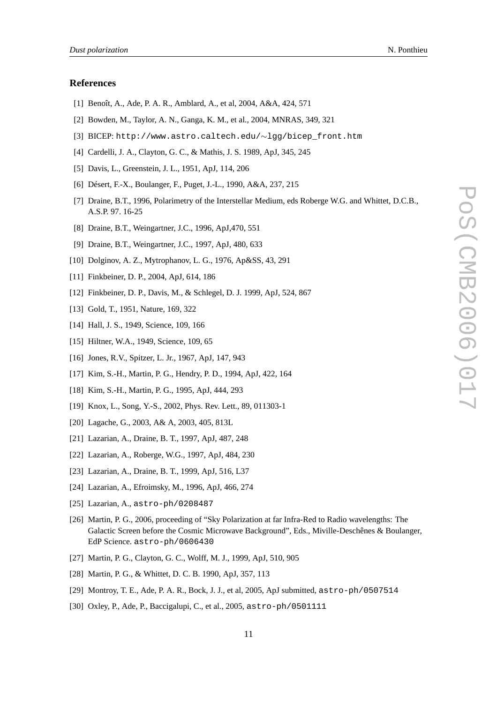#### <span id="page-10-0"></span>**References**

- [1] Benoît, A., Ade, P. A. R., Amblard, A., et al, 2004, A&A, 424, 571
- [2] Bowden, M., Taylor, A. N., Ganga, K. M., et al., 2004, MNRAS, 349, 321
- [3] BICEP: http://www.astro.caltech.edu/∼lgg/bicep\_front.htm
- [4] Cardelli, J. A., Clayton, G. C., & Mathis, J. S. 1989, ApJ, 345, 245
- [5] Davis, L., Greenstein, J. L., 1951, ApJ, 114, 206
- [6] Désert, F.-X., Boulanger, F., Puget, J.-L., 1990, A&A, 237, 215
- [7] Draine, B.T., 1996, Polarimetry of the Interstellar Medium, eds Roberge W.G. and Whittet, D.C.B., A.S.P. 97. 16-25
- [8] Draine, B.T., Weingartner, J.C., 1996, ApJ,470, 551
- [9] Draine, B.T., Weingartner, J.C., 1997, ApJ, 480, 633
- [10] Dolginov, A. Z., Mytrophanov, L. G., 1976, Ap&SS, 43, 291
- [11] Finkbeiner, D. P., 2004, ApJ, 614, 186
- [12] Finkbeiner, D. P., Davis, M., & Schlegel, D. J. 1999, ApJ, 524, 867
- [13] Gold, T., 1951, Nature, 169, 322
- [14] Hall, J. S., 1949, Science, 109, 166
- [15] Hiltner, W.A., 1949, Science, 109, 65
- [16] Jones, R.V., Spitzer, L. Jr., 1967, ApJ, 147, 943
- [17] Kim, S.-H., Martin, P. G., Hendry, P. D., 1994, ApJ, 422, 164
- [18] Kim, S.-H., Martin, P. G., 1995, ApJ, 444, 293
- [19] Knox, L., Song, Y.-S., 2002, Phys. Rev. Lett., 89, 011303-1
- [20] Lagache, G., 2003, A& A, 2003, 405, 813L
- [21] Lazarian, A., Draine, B. T., 1997, ApJ, 487, 248
- [22] Lazarian, A., Roberge, W.G., 1997, ApJ, 484, 230
- [23] Lazarian, A., Draine, B. T., 1999, ApJ, 516, L37
- [24] Lazarian, A., Efroimsky, M., 1996, ApJ, 466, 274
- [25] Lazarian, A., astro-ph/0208487
- [26] Martin, P. G., 2006, proceeding of "Sky Polarization at far Infra-Red to Radio wavelengths: The Galactic Screen before the Cosmic Microwave Background", Eds., Miville-Deschênes & Boulanger, EdP Science. astro-ph/0606430
- [27] Martin, P. G., Clayton, G. C., Wolff, M. J., 1999, ApJ, 510, 905
- [28] Martin, P. G., & Whittet, D. C. B. 1990, ApJ, 357, 113
- [29] Montroy, T. E., Ade, P. A. R., Bock, J. J., et al, 2005, ApJ submitted, astro-ph/0507514
- [30] Oxley, P., Ade, P., Baccigalupi, C., et al., 2005, astro-ph/0501111